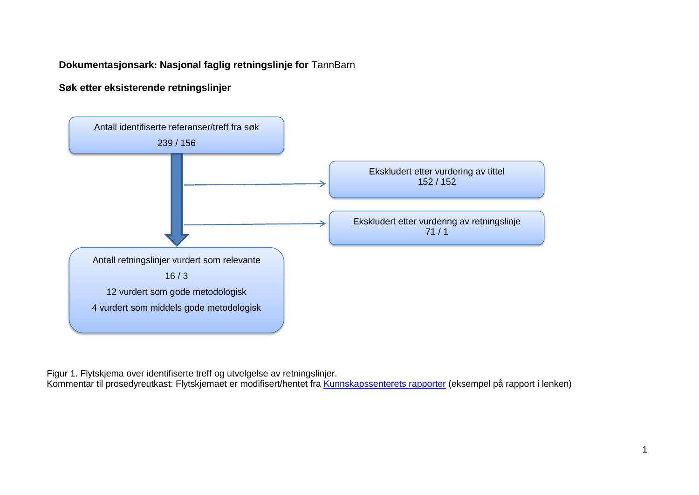# **Dokumentasjonsark: Nasjonal faglig retningslinje for** TannBarn

# **Søk etter eksisterende retningslinjer**



Figur 1. Flytskjema over identifiserte treff og utvelgelse av retningslinjer.

Kommentar til prosedyreutkast: Flytskjemaet er modifisert/hentet fra [Kunnskapssenterets rapporter](http://www.kunnskapssenteret.no/Publikasjoner/Depresjonsscreening+av+gravide+og+barselkvinner.17323.cms) (eksempel på rapport i lenken)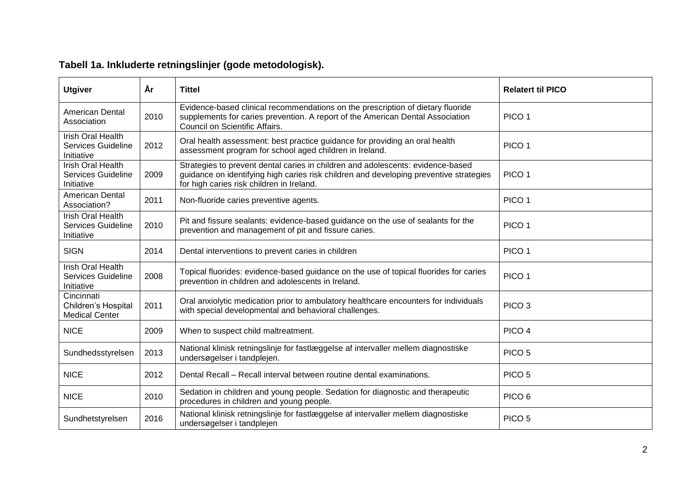| <b>Utgiver</b>                                                      | År   | <b>Tittel</b>                                                                                                                                                                                                          | <b>Relatert til PICO</b> |
|---------------------------------------------------------------------|------|------------------------------------------------------------------------------------------------------------------------------------------------------------------------------------------------------------------------|--------------------------|
| <b>American Dental</b><br>Association                               | 2010 | Evidence-based clinical recommendations on the prescription of dietary fluoride<br>supplements for caries prevention. A report of the American Dental Association<br>Council on Scientific Affairs.                    | PICO <sub>1</sub>        |
| <b>Irish Oral Health</b><br>Services Guideline<br>Initiative        | 2012 | Oral health assessment: best practice guidance for providing an oral health<br>assessment program for school aged children in Ireland.                                                                                 | PICO <sub>1</sub>        |
| <b>Irish Oral Health</b><br><b>Services Guideline</b><br>Initiative | 2009 | Strategies to prevent dental caries in children and adolescents: evidence-based<br>guidance on identifying high caries risk children and developing preventive strategies<br>for high caries risk children in Ireland. | PICO <sub>1</sub>        |
| <b>American Dental</b><br>Association?                              | 2011 | Non-fluoride caries preventive agents.                                                                                                                                                                                 | PICO <sub>1</sub>        |
| <b>Irish Oral Health</b><br><b>Services Guideline</b><br>Initiative | 2010 | Pit and fissure sealants: evidence-based guidance on the use of sealants for the<br>prevention and management of pit and fissure caries.                                                                               | PICO <sub>1</sub>        |
| <b>SIGN</b>                                                         | 2014 | Dental interventions to prevent caries in children                                                                                                                                                                     | PICO <sub>1</sub>        |
| <b>Irish Oral Health</b><br>Services Guideline<br>Initiative        | 2008 | Topical fluorides: evidence-based guidance on the use of topical fluorides for caries<br>prevention in children and adolescents in Ireland.                                                                            | PICO <sub>1</sub>        |
| Cincinnati<br>Children's Hospital<br><b>Medical Center</b>          | 2011 | Oral anxiolytic medication prior to ambulatory healthcare encounters for individuals<br>with special developmental and behavioral challenges.                                                                          | PICO <sub>3</sub>        |
| <b>NICE</b>                                                         | 2009 | When to suspect child maltreatment.                                                                                                                                                                                    | PICO <sub>4</sub>        |
| Sundhedsstyrelsen                                                   | 2013 | National klinisk retningslinje for fastlæggelse af intervaller mellem diagnostiske<br>undersøgelser i tandplejen.                                                                                                      | PICO <sub>5</sub>        |
| <b>NICE</b>                                                         | 2012 | Dental Recall – Recall interval between routine dental examinations.                                                                                                                                                   | PICO <sub>5</sub>        |
| <b>NICE</b>                                                         | 2010 | Sedation in children and young people. Sedation for diagnostic and therapeutic<br>procedures in children and young people.                                                                                             | PICO <sub>6</sub>        |
| Sundhetstyrelsen                                                    | 2016 | National klinisk retningslinje for fastlæggelse af intervaller mellem diagnostiske<br>undersøgelser i tandplejen                                                                                                       | PICO <sub>5</sub>        |

# **Tabell 1a. Inkluderte retningslinjer (gode metodologisk).**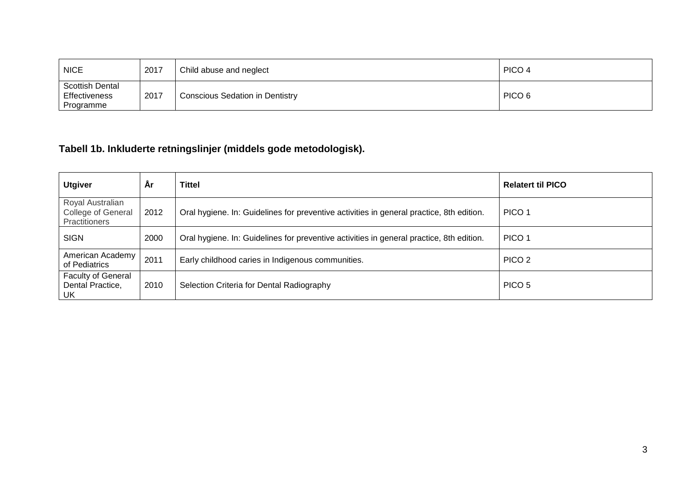| <b>NICE</b>                                                 | 2017 | Child abuse and neglect         | PICO 4            |
|-------------------------------------------------------------|------|---------------------------------|-------------------|
| <b>Scottish Dental</b><br><b>Effectiveness</b><br>Programme | 2017 | Conscious Sedation in Dentistry | PICO <sub>6</sub> |

# **Tabell 1b. Inkluderte retningslinjer (middels gode metodologisk).**

| <b>Utgiver</b>                                                        | Ar   | <b>Tittel</b>                                                                            | <b>Relatert til PICO</b> |
|-----------------------------------------------------------------------|------|------------------------------------------------------------------------------------------|--------------------------|
| Royal Australian<br><b>College of General</b><br><b>Practitioners</b> | 2012 | Oral hygiene. In: Guidelines for preventive activities in general practice, 8th edition. | PICO 1                   |
| <b>SIGN</b>                                                           | 2000 | Oral hygiene. In: Guidelines for preventive activities in general practice, 8th edition. | PICO <sub>1</sub>        |
| American Academy<br>of Pediatrics                                     | 2011 | Early childhood caries in Indigenous communities.                                        | PICO <sub>2</sub>        |
| <b>Faculty of General</b><br>Dental Practice,<br>UK                   | 2010 | Selection Criteria for Dental Radiography                                                | PICO 5                   |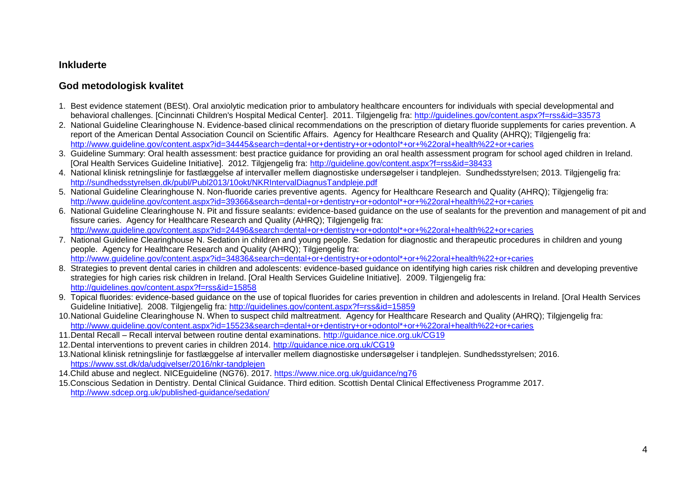#### **Inkluderte**

## **God metodologisk kvalitet**

- 1. Best evidence statement (BESt). Oral anxiolytic medication prior to ambulatory healthcare encounters for individuals with special developmental and behavioral challenges. [Cincinnati Children's Hospital Medical Center]. 2011. Tilgjengelig fra:<http://guidelines.gov/content.aspx?f=rss&id=33573>
- 2. National Guideline Clearinghouse N. Evidence-based clinical recommendations on the prescription of dietary fluoride supplements for caries prevention. A report of the American Dental Association Council on Scientific Affairs. Agency for Healthcare Research and Quality (AHRQ); Tilgjengelig fra: [http://www.guideline.gov/content.aspx?id=34445&search=dental+or+dentistry+or+odontol\\*+or+%22oral+health%22+or+caries](http://www.guideline.gov/content.aspx?id=34445&search=dental+or+dentistry+or+odontol*+or+%22oral+health%22+or+caries)
- 3. Guideline Summary: Oral health assessment: best practice guidance for providing an oral health assessment program for school aged children in Ireland. [Oral Health Services Guideline Initiative]. 2012. Tilgjengelig fra:<http://guideline.gov/content.aspx?f=rss&id=38433>
- 4. National klinisk retningslinje for fastlæggelse af intervaller mellem diagnostiske undersøgelser i tandplejen. Sundhedsstyrelsen; 2013. Tilgjengelig fra: <http://sundhedsstyrelsen.dk/publ/Publ2013/10okt/NKRIntervalDiagnusTandpleje.pdf>
- 5. National Guideline Clearinghouse N. Non-fluoride caries preventive agents. Agency for Healthcare Research and Quality (AHRQ); Tilgjengelig fra: [http://www.guideline.gov/content.aspx?id=39366&search=dental+or+dentistry+or+odontol\\*+or+%22oral+health%22+or+caries](http://www.guideline.gov/content.aspx?id=39366&search=dental+or+dentistry+or+odontol*+or+%22oral+health%22+or+caries)
- 6. National Guideline Clearinghouse N. Pit and fissure sealants: evidence-based guidance on the use of sealants for the prevention and management of pit and fissure caries. Agency for Healthcare Research and Quality (AHRQ); Tilgjengelig fra: [http://www.guideline.gov/content.aspx?id=24496&search=dental+or+dentistry+or+odontol\\*+or+%22oral+health%22+or+caries](http://www.guideline.gov/content.aspx?id=24496&search=dental+or+dentistry+or+odontol*+or+%22oral+health%22+or+caries)
- 7. National Guideline Clearinghouse N. Sedation in children and young people. Sedation for diagnostic and therapeutic procedures in children and young people. Agency for Healthcare Research and Quality (AHRQ); Tilgjengelig fra: [http://www.guideline.gov/content.aspx?id=34836&search=dental+or+dentistry+or+odontol\\*+or+%22oral+health%22+or+caries](http://www.guideline.gov/content.aspx?id=34836&search=dental+or+dentistry+or+odontol*+or+%22oral+health%22+or+caries)
- 8. Strategies to prevent dental caries in children and adolescents: evidence-based guidance on identifying high caries risk children and developing preventive strategies for high caries risk children in Ireland. [Oral Health Services Guideline Initiative]. 2009. Tilgjengelig fra: <http://guidelines.gov/content.aspx?f=rss&id=15858>
- 9. Topical fluorides: evidence-based guidance on the use of topical fluorides for caries prevention in children and adolescents in Ireland. [Oral Health Services Guideline Initiative]. 2008. Tilgjengelig fra:<http://guidelines.gov/content.aspx?f=rss&id=15859>
- 10.National Guideline Clearinghouse N. When to suspect child maltreatment. Agency for Healthcare Research and Quality (AHRQ); Tilgjengelig fra: [http://www.guideline.gov/content.aspx?id=15523&search=dental+or+dentistry+or+odontol\\*+or+%22oral+health%22+or+caries](http://www.guideline.gov/content.aspx?id=15523&search=dental+or+dentistry+or+odontol*+or+%22oral+health%22+or+caries)
- 11.Dental Recall Recall interval between routine dental examinations.<http://guidance.nice.org.uk/CG19>
- 12.Dental interventions to prevent caries in children 2014.<http://guidance.nice.org.uk/CG19>
- 13.National klinisk retningslinje for fastlæggelse af intervaller mellem diagnostiske undersøgelser i tandplejen. Sundhedsstyrelsen; 2016. <https://www.sst.dk/da/udgivelser/2016/nkr-tandplejen>
- 14.Child abuse and neglect. NICEguideline (NG76). 2017.<https://www.nice.org.uk/guidance/ng76>
- 15.Conscious Sedation in Dentistry. Dental Clinical Guidance. Third edition. Scottish Dental Clinical Effectiveness Programme 2017. <http://www.sdcep.org.uk/published-guidance/sedation/>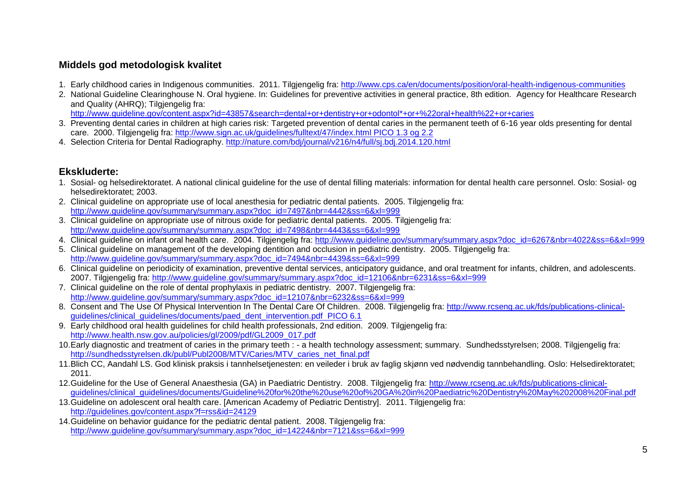## **Middels god metodologisk kvalitet**

- 1. Early childhood caries in Indigenous communities. 2011. Tilgjengelig fra:<http://www.cps.ca/en/documents/position/oral-health-indigenous-communities>
- 2. National Guideline Clearinghouse N. Oral hygiene. In: Guidelines for preventive activities in general practice, 8th edition. Agency for Healthcare Research and Quality (AHRQ): Tilgiengelig fra:

[http://www.guideline.gov/content.aspx?id=43857&search=dental+or+dentistry+or+odontol\\*+or+%22oral+health%22+or+caries](http://www.guideline.gov/content.aspx?id=43857&search=dental+or+dentistry+or+odontol*+or+%22oral+health%22+or+caries)

- 3. Preventing dental caries in children at high caries risk: Targeted prevention of dental caries in the permanent teeth of 6-16 year olds presenting for dental care. 2000. Tilgjengelig fra: [http://www.sign.ac.uk/guidelines/fulltext/47/index.html PICO 1.3 og 2.2](http://www.sign.ac.uk/guidelines/fulltext/47/index.html%20PICO%201.3%20og%202.2)
- 4. Selection Criteria for Dental Radiography.<http://nature.com/bdj/journal/v216/n4/full/sj.bdj.2014.120.html>

### **Ekskluderte:**

- 1. Sosial- og helsedirektoratet. A national clinical guideline for the use of dental filling materials: information for dental health care personnel. Oslo: Sosial- og helsedirektoratet; 2003.
- 2. Clinical guideline on appropriate use of local anesthesia for pediatric dental patients. 2005. Tilgjengelig fra: [http://www.guideline.gov/summary/summary.aspx?doc\\_id=7497&nbr=4442&ss=6&xl=999](http://www.guideline.gov/summary/summary.aspx?doc_id=7497&nbr=4442&ss=6&xl=999)
- 3. Clinical guideline on appropriate use of nitrous oxide for pediatric dental patients. 2005. Tilgjengelig fra: [http://www.guideline.gov/summary/summary.aspx?doc\\_id=7498&nbr=4443&ss=6&xl=999](http://www.guideline.gov/summary/summary.aspx?doc_id=7498&nbr=4443&ss=6&xl=999)
- 4. Clinical guideline on infant oral health care. 2004. Tilgjengelig fra: [http://www.guideline.gov/summary/summary.aspx?doc\\_id=6267&nbr=4022&ss=6&xl=999](http://www.guideline.gov/summary/summary.aspx?doc_id=6267&nbr=4022&ss=6&xl=999)
- 5. Clinical guideline on management of the developing dentition and occlusion in pediatric dentistry. 2005. Tilgjengelig fra: [http://www.guideline.gov/summary/summary.aspx?doc\\_id=7494&nbr=4439&ss=6&xl=999](http://www.guideline.gov/summary/summary.aspx?doc_id=7494&nbr=4439&ss=6&xl=999)
- 6. Clinical guideline on periodicity of examination, preventive dental services, anticipatory guidance, and oral treatment for infants, children, and adolescents. 2007. Tilgjengelig fra: [http://www.guideline.gov/summary/summary.aspx?doc\\_id=12106&nbr=6231&ss=6&xl=999](http://www.guideline.gov/summary/summary.aspx?doc_id=12106&nbr=6231&ss=6&xl=999)
- 7. Clinical guideline on the role of dental prophylaxis in pediatric dentistry. 2007. Tilgjengelig fra: [http://www.guideline.gov/summary/summary.aspx?doc\\_id=12107&nbr=6232&ss=6&xl=999](http://www.guideline.gov/summary/summary.aspx?doc_id=12107&nbr=6232&ss=6&xl=999)
- 8. Consent and The Use Of Physical Intervention In The Dental Care Of Children. 2008. Tilgjengelig fra: [http://www.rcseng.ac.uk/fds/publications-clinical](http://www.rcseng.ac.uk/fds/publications-clinical-guidelines/clinical_guidelines/documents/paed_dent_intervention.pdf%20%20PICO%206.1)[guidelines/clinical\\_guidelines/documents/paed\\_dent\\_intervention.pdf PICO 6.1](http://www.rcseng.ac.uk/fds/publications-clinical-guidelines/clinical_guidelines/documents/paed_dent_intervention.pdf%20%20PICO%206.1)
- 9. Early childhood oral health guidelines for child health professionals, 2nd edition. 2009. Tilgiengelig fra: [http://www.health.nsw.gov.au/policies/gl/2009/pdf/GL2009\\_017.pdf](http://www.health.nsw.gov.au/policies/gl/2009/pdf/GL2009_017.pdf)
- 10.Early diagnostic and treatment of caries in the primary teeth : a health technology assessment; summary. Sundhedsstyrelsen; 2008. Tilgjengelig fra: [http://sundhedsstyrelsen.dk/publ/Publ2008/MTV/Caries/MTV\\_caries\\_net\\_final.pdf](http://sundhedsstyrelsen.dk/publ/Publ2008/MTV/Caries/MTV_caries_net_final.pdf)
- 11.Blich CC, Aandahl LS. God klinisk praksis i tannhelsetjenesten: en veileder i bruk av faglig skjønn ved nødvendig tannbehandling. Oslo: Helsedirektoratet; 2011.
- 12.Guideline for the Use of General Anaesthesia (GA) in Paediatric Dentistry. 2008. Tilgiengelig fra: [http://www.rcseng.ac.uk/fds/publications-clinical](http://www.rcseng.ac.uk/fds/publications-clinical-guidelines/clinical_guidelines/documents/Guideline%20for%20the%20use%20of%20GA%20in%20Paediatric%20Dentistry%20May%202008%20Final.pdf)[guidelines/clinical\\_guidelines/documents/Guideline%20for%20the%20use%20of%20GA%20in%20Paediatric%20Dentistry%20May%202008%20Final.pdf](http://www.rcseng.ac.uk/fds/publications-clinical-guidelines/clinical_guidelines/documents/Guideline%20for%20the%20use%20of%20GA%20in%20Paediatric%20Dentistry%20May%202008%20Final.pdf)
- 13.Guideline on adolescent oral health care. [American Academy of Pediatric Dentistry]. 2011. Tilgjengelig fra: <http://guidelines.gov/content.aspx?f=rss&id=24129>
- 14.Guideline on behavior guidance for the pediatric dental patient. 2008. Tilgjengelig fra: [http://www.guideline.gov/summary/summary.aspx?doc\\_id=14224&nbr=7121&ss=6&xl=999](http://www.guideline.gov/summary/summary.aspx?doc_id=14224&nbr=7121&ss=6&xl=999)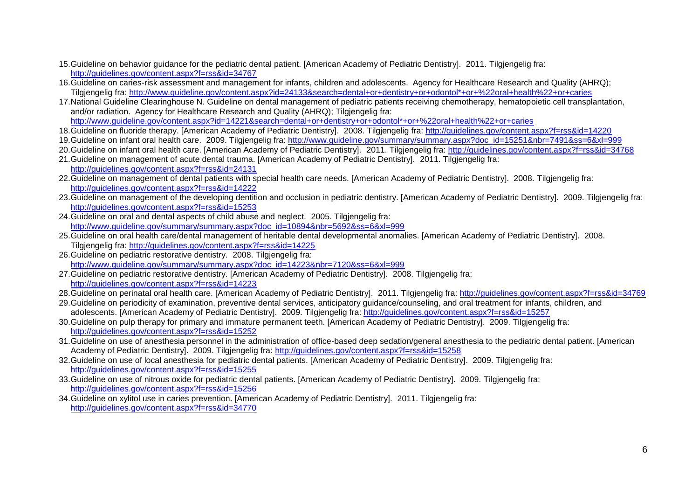- 15.Guideline on behavior guidance for the pediatric dental patient. [American Academy of Pediatric Dentistry]. 2011. Tilgjengelig fra: <http://guidelines.gov/content.aspx?f=rss&id=34767>
- 16.Guideline on caries-risk assessment and management for infants, children and adolescents. Agency for Healthcare Research and Quality (AHRQ); Tilgjengelig fra: [http://www.guideline.gov/content.aspx?id=24133&search=dental+or+dentistry+or+odontol\\*+or+%22oral+health%22+or+caries](http://www.guideline.gov/content.aspx?id=24133&search=dental+or+dentistry+or+odontol*+or+%22oral+health%22+or+caries)
- 17.National Guideline Clearinghouse N. Guideline on dental management of pediatric patients receiving chemotherapy, hematopoietic cell transplantation, and/or radiation. Agency for Healthcare Research and Quality (AHRQ); Tilgjengelig fra: [http://www.guideline.gov/content.aspx?id=14221&search=dental+or+dentistry+or+odontol\\*+or+%22oral+health%22+or+caries](http://www.guideline.gov/content.aspx?id=14221&search=dental+or+dentistry+or+odontol*+or+%22oral+health%22+or+caries)
- 18.Guideline on fluoride therapy. [American Academy of Pediatric Dentistry]. 2008. Tilgjengelig fra:<http://guidelines.gov/content.aspx?f=rss&id=14220>
- 19.Guideline on infant oral health care. 2009. Tilgjengelig fra: [http://www.guideline.gov/summary/summary.aspx?doc\\_id=15251&nbr=7491&ss=6&xl=999](http://www.guideline.gov/summary/summary.aspx?doc_id=15251&nbr=7491&ss=6&xl=999)
- 20.Guideline on infant oral health care. [American Academy of Pediatric Dentistry]. 2011. Tilgjengelig fra:<http://guidelines.gov/content.aspx?f=rss&id=34768>
- 21.Guideline on management of acute dental trauma. [American Academy of Pediatric Dentistry]. 2011. Tilgjengelig fra: <http://guidelines.gov/content.aspx?f=rss&id=24131>
- 22.Guideline on management of dental patients with special health care needs. [American Academy of Pediatric Dentistry]. 2008. Tilgjengelig fra: <http://guidelines.gov/content.aspx?f=rss&id=14222>
- 23.Guideline on management of the developing dentition and occlusion in pediatric dentistry. [American Academy of Pediatric Dentistry]. 2009. Tilgjengelig fra: <http://guidelines.gov/content.aspx?f=rss&id=15253>
- 24.Guideline on oral and dental aspects of child abuse and neglect. 2005. Tilgjengelig fra: [http://www.guideline.gov/summary/summary.aspx?doc\\_id=10894&nbr=5692&ss=6&xl=999](http://www.guideline.gov/summary/summary.aspx?doc_id=10894&nbr=5692&ss=6&xl=999)
- 25.Guideline on oral health care/dental management of heritable dental developmental anomalies. [American Academy of Pediatric Dentistry]. 2008. Tilgiengelig fra:<http://guidelines.gov/content.aspx?f=rss&id=14225>
- 26.Guideline on pediatric restorative dentistry. 2008. Tilgjengelig fra: [http://www.guideline.gov/summary/summary.aspx?doc\\_id=14223&nbr=7120&ss=6&xl=999](http://www.guideline.gov/summary/summary.aspx?doc_id=14223&nbr=7120&ss=6&xl=999)
- 27.Guideline on pediatric restorative dentistry. [American Academy of Pediatric Dentistry]. 2008. Tilgjengelig fra: <http://guidelines.gov/content.aspx?f=rss&id=14223>
- 28.Guideline on perinatal oral health care. [American Academy of Pediatric Dentistry]. 2011. Tilgjengelig fra:<http://guidelines.gov/content.aspx?f=rss&id=34769>
- 29.Guideline on periodicity of examination, preventive dental services, anticipatory guidance/counseling, and oral treatment for infants, children, and adolescents. [American Academy of Pediatric Dentistry]. 2009. Tilgiengelig fra:<http://guidelines.gov/content.aspx?f=rss&id=15257>
- 30.Guideline on pulp therapy for primary and immature permanent teeth. [American Academy of Pediatric Dentistry]. 2009. Tilgjengelig fra: <http://guidelines.gov/content.aspx?f=rss&id=15252>
- 31.Guideline on use of anesthesia personnel in the administration of office-based deep sedation/general anesthesia to the pediatric dental patient. [American Academy of Pediatric Dentistry]. 2009. Tilgjengelig fra:<http://guidelines.gov/content.aspx?f=rss&id=15258>
- 32.Guideline on use of local anesthesia for pediatric dental patients. [American Academy of Pediatric Dentistry]. 2009. Tilgjengelig fra: <http://guidelines.gov/content.aspx?f=rss&id=15255>
- 33.Guideline on use of nitrous oxide for pediatric dental patients. [American Academy of Pediatric Dentistry]. 2009. Tilgjengelig fra: <http://guidelines.gov/content.aspx?f=rss&id=15256>
- 34.Guideline on xylitol use in caries prevention. [American Academy of Pediatric Dentistry]. 2011. Tilgjengelig fra: <http://guidelines.gov/content.aspx?f=rss&id=34770>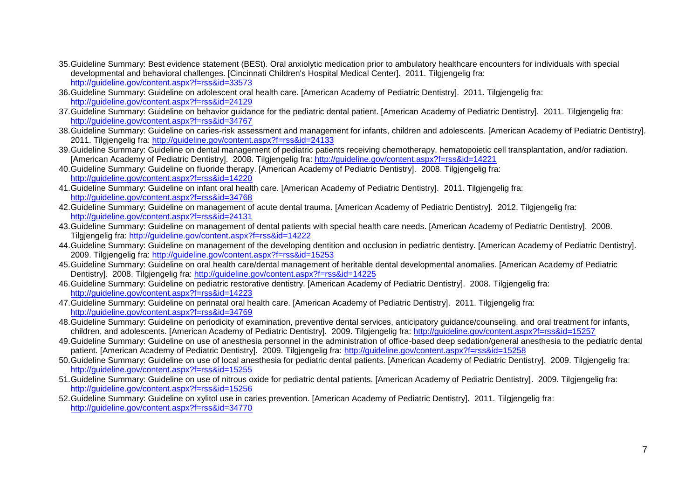- 35.Guideline Summary: Best evidence statement (BESt). Oral anxiolytic medication prior to ambulatory healthcare encounters for individuals with special developmental and behavioral challenges. [Cincinnati Children's Hospital Medical Center]. 2011. Tilgjengelig fra: <http://guideline.gov/content.aspx?f=rss&id=33573>
- 36.Guideline Summary: Guideline on adolescent oral health care. [American Academy of Pediatric Dentistry]. 2011. Tilgjengelig fra: <http://guideline.gov/content.aspx?f=rss&id=24129>
- 37.Guideline Summary: Guideline on behavior guidance for the pediatric dental patient. [American Academy of Pediatric Dentistry]. 2011. Tilgjengelig fra: <http://guideline.gov/content.aspx?f=rss&id=34767>
- 38. Guideline Summary: Guideline on caries-risk assessment and management for infants, children and adolescents. [American Academy of Pediatric Dentistry]. 2011. Tilgjengelig fra:<http://guideline.gov/content.aspx?f=rss&id=24133>
- 39.Guideline Summary: Guideline on dental management of pediatric patients receiving chemotherapy, hematopoietic cell transplantation, and/or radiation. [American Academy of Pediatric Dentistry]. 2008. Tilgjengelig fra:<http://guideline.gov/content.aspx?f=rss&id=14221>
- 40.Guideline Summary: Guideline on fluoride therapy. [American Academy of Pediatric Dentistry]. 2008. Tilgjengelig fra: <http://guideline.gov/content.aspx?f=rss&id=14220>
- 41.Guideline Summary: Guideline on infant oral health care. [American Academy of Pediatric Dentistry]. 2011. Tilgjengelig fra: <http://guideline.gov/content.aspx?f=rss&id=34768>
- 42.Guideline Summary: Guideline on management of acute dental trauma. [American Academy of Pediatric Dentistry]. 2012. Tilgjengelig fra: <http://guideline.gov/content.aspx?f=rss&id=24131>
- 43.Guideline Summary: Guideline on management of dental patients with special health care needs. [American Academy of Pediatric Dentistry]. 2008. Tilgjengelig fra:<http://guideline.gov/content.aspx?f=rss&id=14222>
- 44.Guideline Summary: Guideline on management of the developing dentition and occlusion in pediatric dentistry. [American Academy of Pediatric Dentistry]. 2009. Tilgjengelig fra:<http://guideline.gov/content.aspx?f=rss&id=15253>
- 45.Guideline Summary: Guideline on oral health care/dental management of heritable dental developmental anomalies. [American Academy of Pediatric Dentistry]. 2008. Tilgjengelig fra:<http://guideline.gov/content.aspx?f=rss&id=14225>
- 46.Guideline Summary: Guideline on pediatric restorative dentistry. [American Academy of Pediatric Dentistry]. 2008. Tilgjengelig fra: <http://guideline.gov/content.aspx?f=rss&id=14223>
- 47.Guideline Summary: Guideline on perinatal oral health care. [American Academy of Pediatric Dentistry]. 2011. Tilgjengelig fra: <http://guideline.gov/content.aspx?f=rss&id=34769>
- 48. Guideline Summary: Guideline on periodicity of examination, preventive dental services, anticipatory guidance/counseling, and oral treatment for infants, children, and adolescents. [American Academy of Pediatric Dentistry]. 2009. Tilgjengelig fra:<http://guideline.gov/content.aspx?f=rss&id=15257>
- 49.Guideline Summary: Guideline on use of anesthesia personnel in the administration of office-based deep sedation/general anesthesia to the pediatric dental patient. [American Academy of Pediatric Dentistry]. 2009. Tilgjengelig fra:<http://guideline.gov/content.aspx?f=rss&id=15258>
- 50.Guideline Summary: Guideline on use of local anesthesia for pediatric dental patients. [American Academy of Pediatric Dentistry]. 2009. Tilgjengelig fra: <http://guideline.gov/content.aspx?f=rss&id=15255>
- 51.Guideline Summary: Guideline on use of nitrous oxide for pediatric dental patients. [American Academy of Pediatric Dentistry]. 2009. Tilgjengelig fra: <http://guideline.gov/content.aspx?f=rss&id=15256>
- 52.Guideline Summary: Guideline on xylitol use in caries prevention. [American Academy of Pediatric Dentistry]. 2011. Tilgjengelig fra: <http://guideline.gov/content.aspx?f=rss&id=34770>